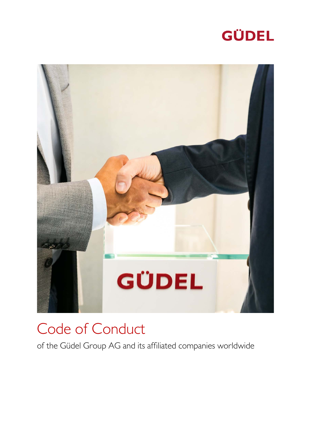# **GÜDEL**



# Code of Conduct

of the Güdel Group AG and its affiliated companies worldwide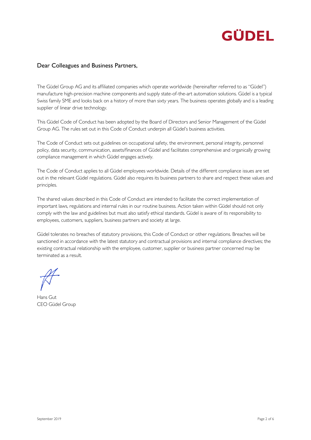## GÜDEL

## Dear Colleagues and Business Partners,

The Güdel Group AG and its affiliated companies which operate worldwide (hereinafter referred to as "Güdel") manufacture high-precision machine components and supply state-of-the-art automation solutions. Güdel is a typical Swiss family SME and looks back on a history of more than sixty years. The business operates globally and is a leading supplier of linear drive technology.

This Güdel Code of Conduct has been adopted by the Board of Directors and Senior Management of the Güdel Group AG. The rules set out in this Code of Conduct underpin all Güdel's business activities.

The Code of Conduct sets out guidelines on occupational safety, the environment, personal integrity, personnel policy, data security, communication, assets/finances of Güdel and facilitates comprehensive and organically growing compliance management in which Güdel engages actively.

The Code of Conduct applies to all Güdel employees worldwide. Details of the different compliance issues are set out in the relevant Güdel regulations. Güdel also requires its business partners to share and respect these values and principles.

The shared values described in this Code of Conduct are intended to facilitate the correct implementation of important laws, regulations and internal rules in our routine business. Action taken within Güdel should not only comply with the law and guidelines but must also satisfy ethical standards. Güdel is aware of its responsibility to employees, customers, suppliers, business partners and society at large.

Güdel tolerates no breaches of statutory provisions, this Code of Conduct or other regulations. Breaches will be sanctioned in accordance with the latest statutory and contractual provisions and internal compliance directives; the existing contractual relationship with the employee, customer, supplier or business partner concerned may be terminated as a result.

Hans Gut CEO Güdel Group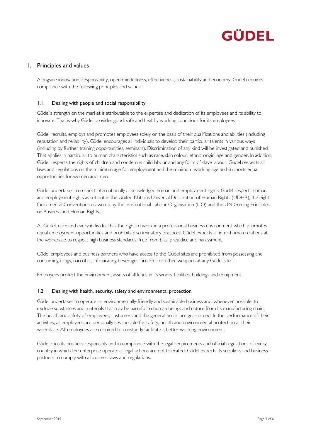

### 1. Principles and values

Alongside innovation, responsibility, open mindedness, effectiveness, sustainability and economy, Güdel requires compliance with the following principles and values:

#### 1.1. Dealing with people and social responsibility

Güdel's strength on the market is attributable to the expertise and dedication of its employees and its ability to innovate. That is why Güdel provides good, safe and healthy working conditions for its employees.

Güdel recruits, employs and promotes employees solely on the basis of their qualifications and abilities (including reputation and reliability). Güdel encourages all individuals to develop their particular talents in various ways (including by further training opportunities, seminars). Discrimination of any kind will be investigated and punished. That applies in particular to human characteristics such as race, skin colour, ethnic origin, age and gender. In addition, Güdel respects the rights of children and condemns child labour and any form of slave labour. Güdel respects all laws and regulations on the minimum age for employment and the minimum working age and supports equal opportunities for women and men.

Güdel undertakes to respect internationally acknowledged human and employment rights. Güdel respects human and employment rights as set out in the United Nations Universal Declaration of Human Rights (UDHR), the eight fundamental Conventions drawn up by the International Labour Organisation (ILO) and the UN Guiding Principles on Business and Human Rights.

At Güdel, each and every individual has the right to work in a professional business environment which promotes equal employment opportunities and prohibits discriminatory practices. Güdel expects all inter-human relations at the workplace to respect high business standards, free from bias, prejudice and harassment.

Güdel employees and business partners who have access to the Güdel sites are prohibited from possessing and consuming drugs, narcotics, intoxicating beverages, firearms or other weapons at any Güdel site.

Employees protect the environment, assets of all kinds in its works, facilities, buildings and equipment.

#### 1.2. Dealing with health, security, safety and environmental protection

Güdel undertakes to operate an environmentally-friendly and sustainable business and, whenever possible, to exclude substances and materials that may be harmful to human beings and nature from its manufacturing chain. The health and safety of employees, customers and the general public are guaranteed. In the performance of their activities, all employees are personally responsible for safety, health and environmental protection at their workplace. All employees are required to constantly facilitate a better working environment.

Güdel runs its business responsibly and in compliance with the legal requirements and official regulations of every country in which the enterprise operates. Illegal actions are not tolerated. Güdel expects its suppliers and business partners to comply with all current laws and regulations.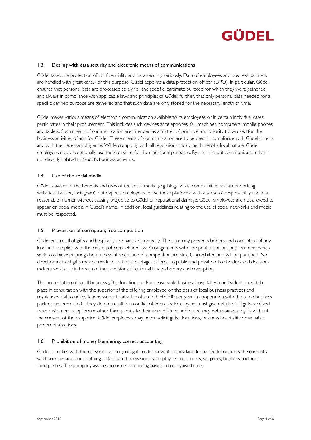

#### 1.3. Dealing with data security and electronic means of communications

Güdel takes the protection of confidentiality and data security seriously. Data of employees and business partners are handled with great care. For this purpose, Güdel appoints a data protection officer (DPO). In particular, Güdel ensures that personal data are processed solely for the specific legitimate purpose for which they were gathered and always in compliance with applicable laws and principles of Güdel; further, that only personal data needed for a specific defined purpose are gathered and that such data are only stored for the necessary length of time.

Güdel makes various means of electronic communication available to its employees or in certain individual cases participates in their procurement. This includes such devices as telephones, fax machines, computers, mobile phones and tablets. Such means of communication are intended as a matter of principle and priority to be used for the business activities of and for Güdel. These means of communication are to be used in compliance with Güdel criteria and with the necessary diligence. While complying with all regulations, including those of a local nature, Güdel employees may exceptionally use these devices for their personal purposes. By this is meant communication that is not directly related to Güdel's business activities.

#### 1.4. Use of the social media

Güdel is aware of the benefits and risks of the social media (e.g. blogs, wikis, communities, social networking websites, Twitter, Instagram), but expects employees to use these platforms with a sense of responsibility and in a reasonable manner without causing prejudice to Güdel or reputational damage. Güdel employees are not allowed to appear on social media in Güdel's name. In addition, local guidelines relating to the use of social networks and media must be respected.

#### 1.5. Prevention of corruption; free competition

Güdel ensures that gifts and hospitality are handled correctly. The company prevents bribery and corruption of any kind and complies with the criteria of competition law. Arrangements with competitors or business partners which seek to achieve or bring about unlawful restriction of competition are strictly prohibited and will be punished. No direct or indirect gifts may be made, or other advantages offered to public and private office holders and decisionmakers which are in breach of the provisions of criminal law on bribery and corruption.

The presentation of small business gifts, donations and/or reasonable business hospitality to individuals must take place in consultation with the superior of the offering employee on the basis of local business practices and regulations. Gifts and invitations with a total value of up to CHF 200 per year in cooperation with the same business partner are permitted if they do not result in a conflict of interests. Employees must give details of all gifts received from customers, suppliers or other third parties to their immediate superior and may not retain such gifts without the consent of their superior. Güdel employees may never solicit gifts, donations, business hospitality or valuable preferential actions.

#### 1.6. Prohibition of money laundering, correct accounting

Güdel complies with the relevant statutory obligations to prevent money laundering. Güdel respects the currently valid tax rules and does nothing to facilitate tax evasion by employees, customers, suppliers, business partners or third parties. The company assures accurate accounting based on recognised rules.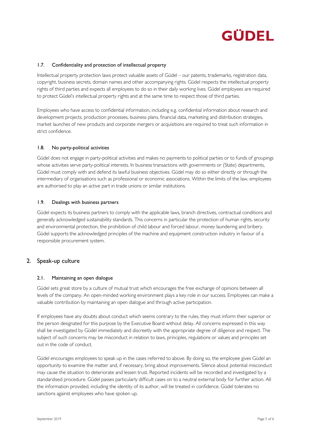## GÜDEL

#### 1.7. Confidentiality and protection of intellectual property

Intellectual property protection laws protect valuable assets of Güdel – our patents, trademarks, registration data, copyright, business secrets, domain names and other accompanying rights. Güdel respects the intellectual property rights of third parties and expects all employees to do so in their daily working lives. Güdel employees are required to protect Güdel's intellectual property rights and at the same time to respect those of third parties.

Employees who have access to confidential information, including e.g. confidential information about research and development projects, production processes, business plans, financial data, marketing and distribution strategies, market launches of new products and corporate mergers or acquisitions are required to treat such information in strict confidence.

#### 1.8. No party-political activities

Güdel does not engage in party-political activities and makes no payments to political parties or to funds of groupings whose activities serve party-political interests. In business transactions with governments or (State) departments, Güdel must comply with and defend its lawful business objectives. Güdel may do so either directly or through the intermediary of organisations such as professional or economic associations. Within the limits of the law, employees are authorised to play an active part in trade unions or similar institutions.

#### 1.9. Dealings with business partners

Güdel expects its business partners to comply with the applicable laws, branch directives, contractual conditions and generally acknowledged sustainability standards. This concerns in particular the protection of human rights, security and environmental protection, the prohibition of child labour and forced labour, money laundering and bribery. Güdel supports the acknowledged principles of the machine and equipment construction industry in favour of a responsible procurement system.

### 2. Speak-up culture

#### 2.1. Maintaining an open dialogue

Güdel sets great store by a culture of mutual trust which encourages the free exchange of opinions between all levels of the company. An open-minded working environment plays a key role in our success. Employees can make a valuable contribution by maintaining an open dialogue and through active participation.

If employees have any doubts about conduct which seems contrary to the rules, they must inform their superior or the person designated for this purpose by the Executive Board without delay. All concerns expressed in this way shall be investigated by Güdel immediately and discreetly with the appropriate degree of diligence and respect. The subject of such concerns may be misconduct in relation to laws, principles, regulations or values and principles set out in the code of conduct.

Güdel encourages employees to speak up in the cases referred to above. By doing so, the employee gives Güdel an opportunity to examine the matter and, if necessary, bring about improvements. Silence about potential misconduct may cause the situation to deteriorate and lessen trust. Reported incidents will be recorded and investigated by a standardised procedure. Güdel passes particularly difficult cases on to a neutral external body for further action. All the information provided, including the identity of its author, will be treated in confidence. Güdel tolerates no sanctions against employees who have spoken up.